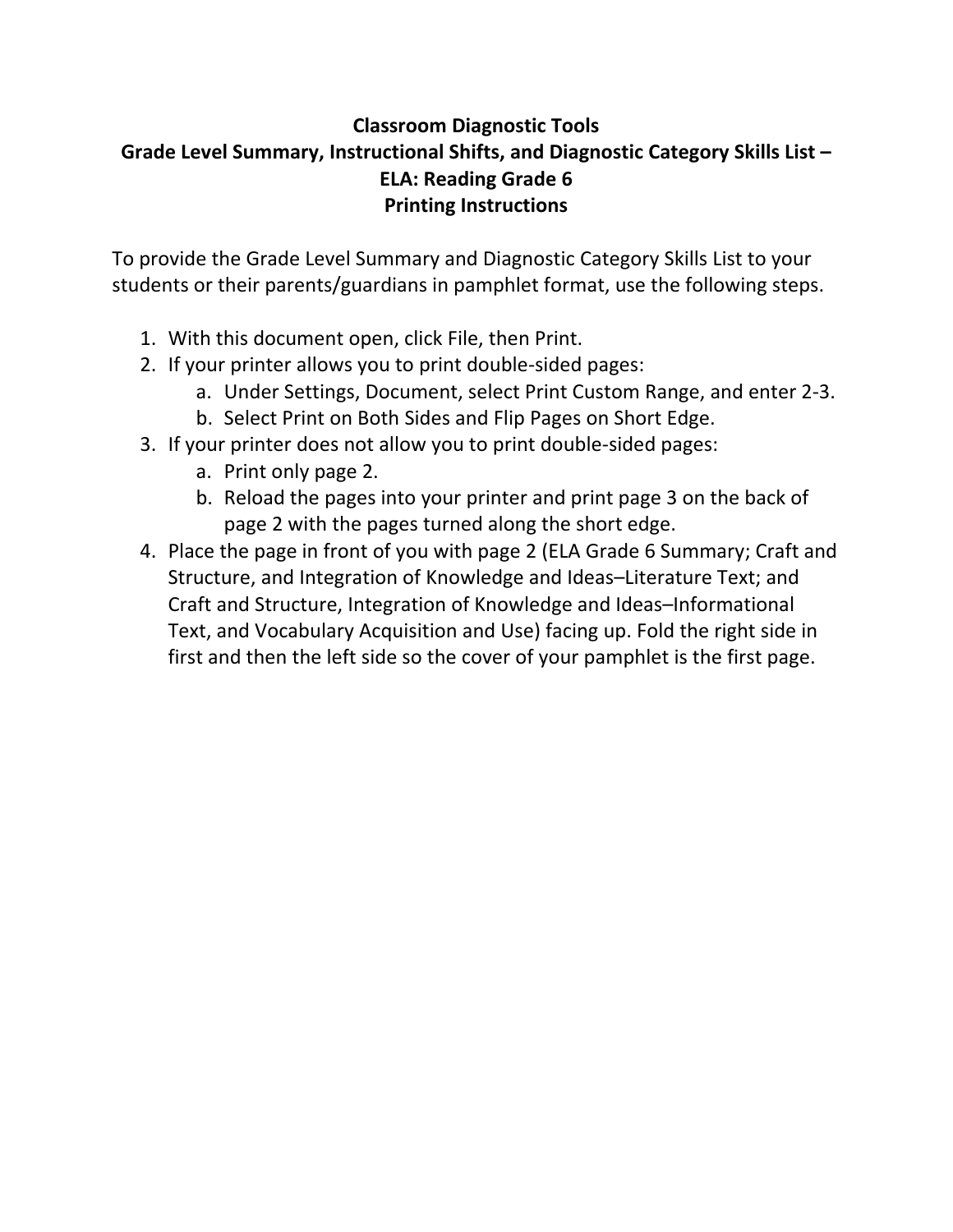# **Classroom Diagnostic Tools Grade Level Summary, Instructional Shifts, and Diagnostic Category Skills List – ELA: Reading Grade 6 Printing Instructions**

To provide the Grade Level Summary and Diagnostic Category Skills List to your students or their parents/guardians in pamphlet format, use the following steps.

- 1. With this document open, click File, then Print.
- 2. If your printer allows you to print double‐sided pages:
	- a. Under Settings, Document, select Print Custom Range, and enter 2‐3.
	- b. Select Print on Both Sides and Flip Pages on Short Edge.
- 3. If your printer does not allow you to print double‐sided pages:
	- a. Print only page 2.
	- b. Reload the pages into your printer and print page 3 on the back of page 2 with the pages turned along the short edge.
- 4. Place the page in front of you with page 2 (ELA Grade 6 Summary; Craft and Structure, and Integration of Knowledge and Ideas–Literature Text; and Craft and Structure, Integration of Knowledge and Ideas–Informational Text, and Vocabulary Acquisition and Use) facing up. Fold the right side in first and then the left side so the cover of your pamphlet is the first page.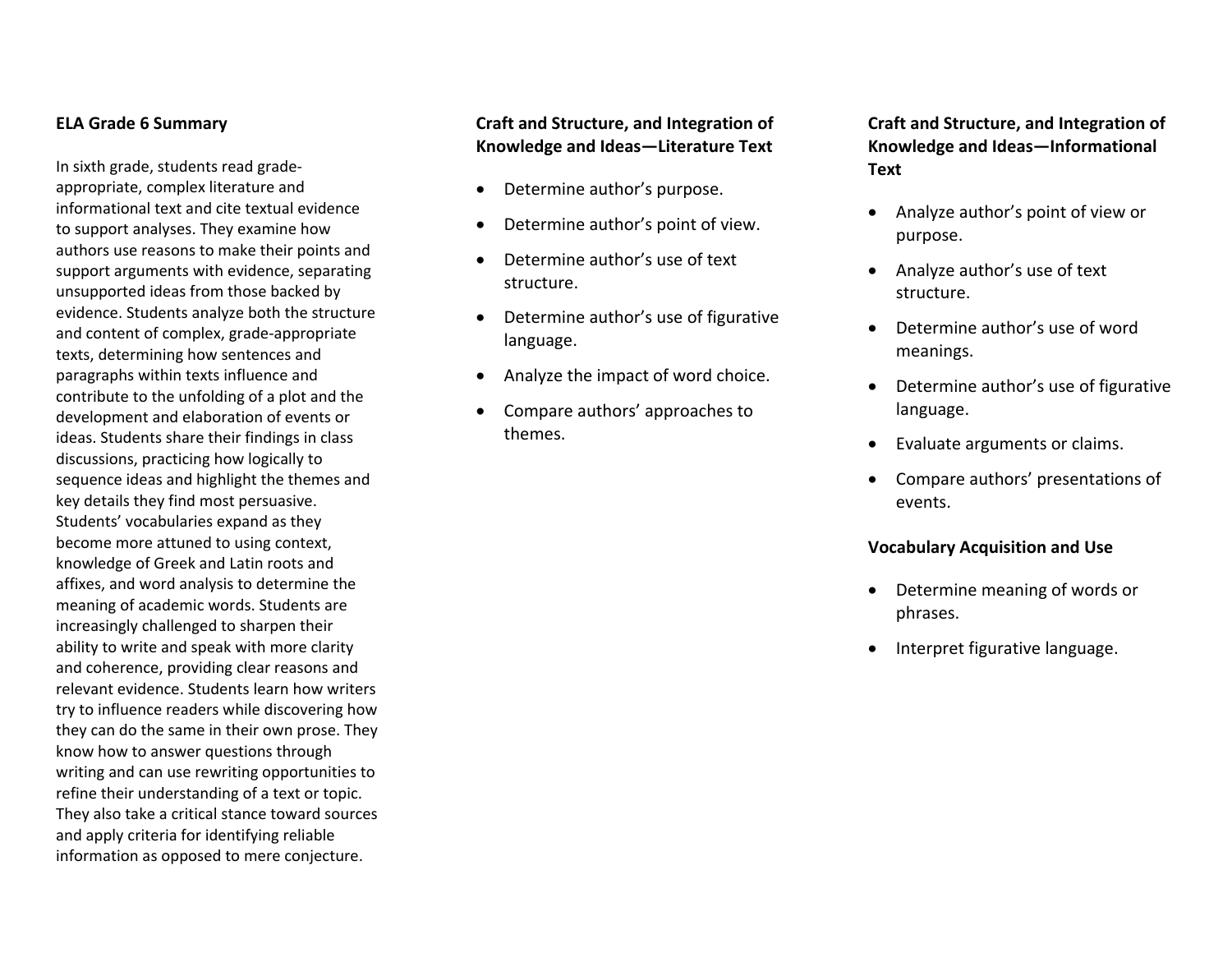#### **ELA Grade 6 Summary**

In sixth grade, students read grade‐ appropriate, complex literature and informational text and cite textual evidence to support analyses. They examine how authors use reasons to make their points and support arguments with evidence, separating unsupported ideas from those backed by evidence. Students analyze both the structure and content of complex, grade‐appropriate texts, determining how sentences and paragraphs within texts influence and contribute to the unfolding of <sup>a</sup> plot and the development and elaboration of events or ideas. Students share their findings in class discussions, practicing how logically to sequence ideas and highlight the themes and key details they find most persuasive. Students' vocabularies expand as they become more attuned to using context, knowledge of Greek and Latin roots and affixes, and word analysis to determine the meaning of academic words. Students are increasingly challenged to sharpen their ability to write and speak with more clarity and coherence, providing clear reasons and relevant evidence. Students learn how writers try to influence readers while discovering how they can do the same in their own prose. They know how to answer questions through writing and can use rewriting opportunities to refine their understanding of <sup>a</sup> text or topic. They also take <sup>a</sup> critical stance toward sources and apply criteria for identifying reliable information as opposed to mere conjecture.

# **Craft and Structure, and Integration of Knowledge and Ideas—Literature Text**

- $\bullet$ Determine author's purpose.
- $\bullet$ Determine author's point of view.
- $\bullet$  Determine author's use of text structure.
- . Determine author's use of figurative language.
- . Analyze the impact of word choice.
- $\bullet$  Compare authors' approaches to themes.

**Craft and Structure, and Integration of Knowledge and Ideas—Informational Text**

- . Analyze author's point of view or purpose.
- Analyze author's use of text structure.
- Determine author's use of wordmeanings.
- Determine author's use of figurative language.
- Evaluate arguments or claims.
- Compare authors' presentations of events.

#### **Vocabulary Acquisition and Use**

- Determine meaning of words or phrases.
- Interpret figurative language.